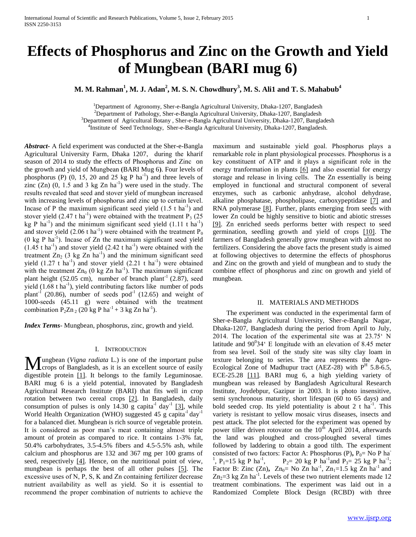# **Effects of Phosphorus and Zinc on the Growth and Yield of Mungbean (BARI mug 6)**

**M. M. Rahman<sup>1</sup> , M. J. Adan<sup>2</sup> , M. S. N. Chowdhury<sup>3</sup> , M. S. Ali1 and T. S. Mahabub<sup>4</sup>**

<sup>1</sup>Department of Agronomy, Sher-e-Bangla Agricultural University, Dhaka-1207, Bangladesh <sup>2</sup>Department of Pathology, Sher-e-Bangla Agricultural University, Dhaka-1207, Bangladesh  $3$ Department of Agricultural Botany, Sher-e-Bangla Agricultural University, Dhaka-1207, Bangladesh <sup>4</sup>Institute of Seed Technology, Sher-e-Bangla Agricultural University, Dhaka-1207, Bangladesh.

*Abstract***-** A field experiment was conducted at the Sher-e-Bangla Agricultural University Farm, Dhaka 1207, during the kharif season of 2014 to study the effects of Phosphorus and Zinc on the growth and yield of Mungbean **(**BARI Mug 6**)**. Four levels of phosphorus (P)  $(0, 15, 20, 25 \text{ kg P} \text{ ha}^{-1})$  and three levels of zinc  $(Zn)$   $(0, 1.5 \text{ and } 3 \text{ kg } Zn \text{ ha}^{-1})$  were used in the study. The results revealed that seed and stover yield of mungbean increased with increasing levels of phosphorus and zinc up to certain level. Incase of P the maximum significant seed yield  $(1.5 \text{ t} \text{ ha}^{-1})$  and stover yield  $(2.47 \text{ t ha}^{-1})$  were obtained with the treatment  $\dot{P}_3$  (25) kg P ha<sup>-1</sup>) and the minimum significant seed yield  $(1.11 \text{ t ha}^{-1})$ and stover yield  $(2.06 \text{ t ha}^{-1})$  were obtained with the treatment  $\overline{P}_0$  $(0 \text{ kg } P \text{ ha}^{-1})$ . Incase of Zn the maximum significant seed yield  $(1.45 \text{ t} \text{ ha}^{-1})$  and stover yield  $(2.42 \text{ t} \text{ ha}^{-1})$  were obtained with the treatment  $Zn_2$  (3 kg  $Zn$  ha<sup>-1</sup>) and the minimum significant seed yield  $(1.27 \text{ t ha}^{-1})$  and stover yield  $(2.21 \text{ t ha}^{-1})$  were obtained with the treatment  $Zn_0$  (0 kg  $Zn$  ha<sup>-1</sup>). The maximum significant plant height (52.05 cm), number of branch plant<sup>-1</sup> (2.87), seed yield  $(1.68 \text{ t ha}^{-1})$ , yield contributing factors like number of pods plant<sup>-1</sup> (20.86), number of seeds pod<sup>-1</sup> (12.65) and weight of 1000-seeds (45.11 g) were obtained with the treatment combination  $P_2Zn_2$  (20 kg P ha<sup>-1</sup> + 3 kg Zn ha<sup>-1</sup>).

*Index Terms*- Mungbean, phosphorus, zinc, growth and yield.

#### I. INTRODUCTION

ungbean (*Vigna radiata* L.) is one of the important pulse **M**ungbean (*Vigna radiata* L.) is one of the important pulse<br>crops of Bangladesh, as it is an excellent source of easily digestible protein [1]. It belongs to the family Leguminosae. BARI mug 6 is a yield potential, innovated by Bangladesh Agricultural Research Institute (BARI) that fits well in crop rotation between two cereal crops [2]. In Bangladesh, daily consumption of pulses is only  $14.30$  g capita<sup>-1</sup> day<sup>-1</sup> [3], while World Health Organization (WHO) suggested 45 g capita<sup>-1</sup> day<sup>-1</sup> for a balanced diet. Mungbean is rich source of vegetable protein. It is considered as poor man's meat containing almost triple amount of protein as compared to rice. It contains 1-3% fat, 50.4% carbohydrates, 3.5-4.5% fibers and 4.5-5.5% ash, while calcium and phosphorus are 132 and 367 mg per 100 grams of seed, respectively [4]. Hence, on the nutritional point of view, mungbean is perhaps the best of all other pulses [5]. The excessive uses of N, P, S, K and Zn containing fertilizer decrease nutrient availability as well as yield. So it is essential to recommend the proper combination of nutrients to achieve the

maximum and sustainable yield goal. Phosphorus plays a remarkable role in plant physiological processes. Phosphorus is a key constituent of ATP and it plays a significant role in the energy tranformation in plants [6] and also essential for energy storage and release in living cells. The Zn essentially is being employed in functional and structural component of several enzymes, such as carbonic anhydrase, alcohol dehydrase, alkaline phosphatase, phospholipase, carboxypeptidase [7] and RNA polymerase [8]. Further, plants emerging from seeds with lower Zn could be highly sensitive to biotic and abiotic stresses [9]. Zn enriched seeds performs better with respect to seed germination, seedling growth and yield of crops [10]. The farmers of Bangladesh generally grow mungbean with almost no fertilizers. Considering the above facts the present study is aimed at following objectives to determine the effects of phosphorus and Zinc on the growth and yield of mungbean and to study the combine effect of phosphorus and zinc on growth and yield of mungbean.

### II. MATERIALS AND METHODS

 The experiment was conducted in the experimental farm of Sher-e-Bangla Agricultural University, Sher-e-Bangla Nagar, Dhaka-1207, Bangladesh during the period from April to July, 2014. The location of the experimental site was at 23.75' N latitude and  $90^034$ <sup>c</sup> E longitude with an elevation of 8.45 meter from sea level. Soil of the study site was silty clay loam in texture belonging to series. The area represents the Agro-Ecological Zone of Madhupur tract (AEZ-28) with  $P<sup>H</sup>$  5.8-6.5, ECE-25.28 [11]. BARI mug 6, a high yielding variety of mungbean was released by Bangladesh Agricultural Research Institute, Joydebpur, Gazipur in 2003. It is photo insensitive, semi synchronous maturity, short lifespan (60 to 65 days) and bold seeded crop. Its yield potentiality is about 2  $t$  ha<sup>-1</sup>. This variety is resistant to yellow mosaic virus diseases, insects and pest attack. The plot selected for the experiment was opened by power tiller driven rotovator on the  $10<sup>th</sup>$  April 2014, afterwards the land was ploughed and cross-ploughed several times followed by laddering to obtain a good tilth. The experiment consisted of two factors: Factor A: Phosphorus (P), P<sub>0</sub>= No P ha<sup>-</sup> <sup>1</sup>, P<sub>1</sub>=15 kg P ha<sup>-1</sup>  $P_2 = 20 \text{ kg } P \text{ ha}^{-1}$  and  $P_3 = 25 \text{ kg } P \text{ ha}^{-1}$ ; Factor B: Zinc (Zn),  $Zn_0=$  No Zn ha<sup>-1</sup>, Zn<sub>1</sub>=1.5 kg Zn ha<sup>-1</sup> and  $Zn_2=3$  kg Zn ha<sup>-1</sup>. Levels of these two nutrient elements made 12 treatment combinations. The experiment was laid out in a Randomized Complete Block Design (RCBD) with three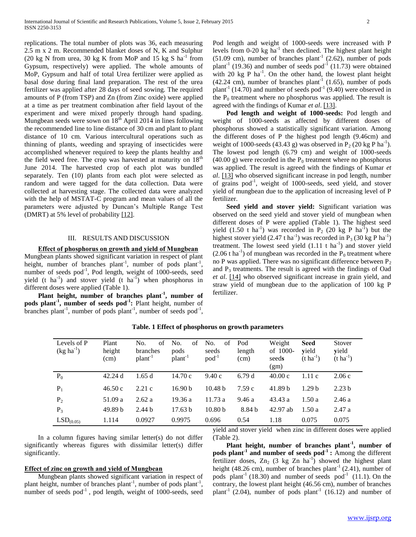replications. The total number of plots was 36, each measuring 2.5 m x 2 m. Recommended blanket doses of N, K and Sulphur (20 kg N from urea, 30 kg K from MoP and 15 kg S  $ha^{-1}$  from Gypsum, respectively) were applied. The whole amounts of MoP, Gypsum and half of total Urea fertilizer were applied as basal dose during final land preparation. The rest of the urea fertilizer was applied after 28 days of seed sowing. The required amounts of P (from TSP) and Zn (from Zinc oxide) were applied at a time as per treatment combination after field layout of the experiment and were mixed properly through hand spading. Mungbean seeds were sown on  $18<sup>th</sup>$  April 2014 in lines following the recommended line to line distance of 30 cm and plant to plant distance of 10 cm. Various intercultural operations such as thinning of plants, weeding and spraying of insecticides were accomplished whenever required to keep the plants healthy and the field weed free. The crop was harvested at maturity on  $18<sup>th</sup>$ June 2014. The harvested crop of each plot was bundled separately. Ten (10) plants from each plot were selected as random and were tagged for the data collection. Data were collected at harvesting stage. The collected data were analyzed with the help of MSTAT-C program and mean values of all the parameters were adjusted by Duncan's Multiple Range Test (DMRT) at 5% level of probability [12].

# III. RESULTS AND DISCUSSION

# **Effect of phosphorus on growth and yield of Mungbean**

Mungbean plants showed significant variation in respect of plant height, number of branches plant<sup>-1</sup>, number of pods plant<sup>-1</sup>, number of seeds pod<sup>-1</sup>, Pod length, weight of 1000-seeds, seed yield (t ha<sup>-1</sup>) and stover yield (t ha<sup>-1</sup>) when phosphorus in different doses were applied (Table 1).

 **Plant height, number of branches plant-1 , number of pods plant-1 , number of seeds pod-1 :** Plant height, number of branches plant<sup>-1</sup>, number of pods plant<sup>-1</sup>, number of seeds pod<sup>-1</sup>, Pod length and weight of 1000-seeds were increased with P levels from  $0-20$  kg ha<sup>-1</sup> then declined. The highest plant height  $(51.09 \text{ cm})$ , number of branches plant<sup>-1</sup>  $(2.62)$ , number of pods plant<sup>-1</sup> (19.36) and number of seeds pod<sup>-1</sup> (11.73) were obtained with 20 kg P  $ha^{-1}$ . On the other hand, the lowest plant height  $(42.24 \text{ cm})$ , number of branches plant<sup>-1</sup>  $(1.65)$ , number of pods plant<sup>-1</sup> (14.70) and number of seeds pod<sup>-1</sup> (9.40) were observed in the  $P_0$  treatment where no phosphorus was applied. The result is agreed with the findings of Kumar *et al*. [13].

 **Pod length and weight of 1000-seeds:** Pod length and weight of 1000-seeds as affected by different doses of phosphorus showed a statistically significant variation. Among the different doses of P the highest pod length (9.46cm) and weight of 1000-seeds (43.43 g) was observed in  $P_2$  (20 kg P ha<sup>-1</sup>). The lowest pod length (6.79 cm) and weight of 1000-seeds (40.00 g) were recorded in the  $P_0$  treatment where no phosphorus was applied. The result is agreed with the findings of Kumar *et al*. [13] who observed significant increase in pod length, number of grains pod<sup>-1</sup>, weight of 1000-seeds, seed yield, and stover yield of mungbean due to the application of increasing level of P fertilizer.

 **Seed yield and stover yield:** Significant variation was observed on the seed yield and stover yield of mungbean when different doses of P were applied (Table 1). The highest seed yield  $(1.50 \text{ t} \text{ ha}^{-1})$  was recorded in P<sub>2</sub> (20 kg P ha<sup>-1</sup>) but the highest stover yield  $(2.47 \text{ t ha}^{-1})$  was recorded in P<sub>3</sub> (30 kg P ha<sup>-1</sup>) treatment. The lowest seed yield  $(1.11 \text{ t ha}^{-1})$  and stover yield  $(2.06 \text{ t} \text{ ha}^{-1})$  of mungbean was recorded in the  $P_0$  treatment where no P was applied. There was no significant difference between  $P_2$ and  $P_3$  treatments. The result is agreed with the findings of Oad *et al*. [14] who observed significant increase in grain yield, and straw yield of mungbean due to the application of 100 kg P fertilizer.

| Levels of P<br>$(kg ha^{-1})$ | Plant<br>height<br>(cm) | No.<br>of<br>branches<br>$plan-1$ | No.<br>of<br>pods<br>$plant^{-1}$ | No.<br>οf<br>seeds<br>$pod^{-1}$ | Pod<br>length<br>(cm) | Weight<br>of 1000-<br>seeds<br>(gm) | Seed<br>vield<br>$(t \, ha^{-1})$ | Stover<br>yield<br>$(t \text{ ha}^{-1})$ |
|-------------------------------|-------------------------|-----------------------------------|-----------------------------------|----------------------------------|-----------------------|-------------------------------------|-----------------------------------|------------------------------------------|
| $P_0$                         | 42.24d                  | 1.65d                             | 14.70c                            | 9.40c                            | 6.79d                 | 40.00c                              | 1.11c                             | 2.06c                                    |
| $P_1$                         | 46.50c                  | 2.21c                             | 16.90 <sub>b</sub>                | 10.48 <sub>b</sub>               | 7.59c                 | 41.89 <sub>b</sub>                  | 1.29 <sub>b</sub>                 | 2.23 <sub>b</sub>                        |
| P <sub>2</sub>                | 51.09 a                 | 2.62a                             | 19.36 a                           | 11.73a                           | 9.46 a                | 43.43a                              | 1.50a                             | 2.46a                                    |
| $P_3$                         | 49.89 <sub>b</sub>      | 2.44 <sub>b</sub>                 | 17.63 h                           | 10.80 <sub>b</sub>               | 8.84 b                | $42.97$ ab                          | 1.50a                             | 2.47a                                    |
| LSD <sub>(0.05)</sub>         | 1.114                   | 0.0927                            | 0.9975                            | 0.696                            | 0.54                  | 1.18                                | 0.075                             | 0.075                                    |

**Table. 1 Effect of phosphorus on growth parameters**

 In a column figures having similar letter(s) do not differ significantly whereas figures with dissimilar letter(s) differ significantly.

## **Effect of zinc on growth and yield of Mungbean**

 Mungbean plants showed significant variation in respect of plant height, number of branches plant<sup>-1</sup>, number of pods plant<sup>-1</sup>, number of seeds  $pod^{-1}$ , pod length, weight of 1000-seeds, seed

yield and stover yield when zinc in different doses were applied (Table 2).

 **Plant height, number of branches plant-1 , number of pods plant-1 and number of seeds pod-1 :** Among the different fertilizer doses,  $Zn_2$  (3 kg  $Zn$  ha<sup>-1</sup>) showed the highest plant height (48.26 cm), number of branches plant<sup>-1</sup> (2.41), number of pods plant<sup>-1</sup> (18.30) and number of seeds pod<sup>-1</sup> (11.1). On the contrary, the lowest plant height (46.56 cm), number of branches plant<sup>-1</sup> (2.04), number of pods plant<sup>-1</sup> (16.12) and number of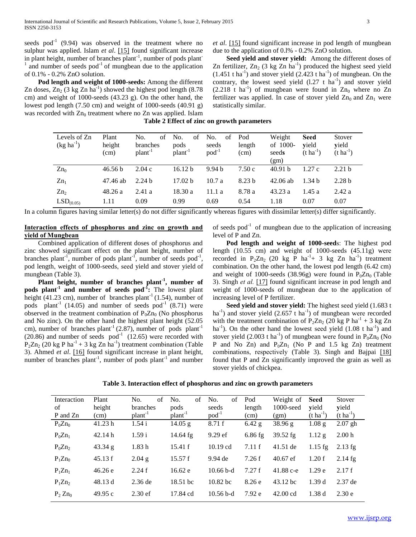seeds pod<sup>-1</sup> (9.94) was observed in the treatment where no sulphur was applied. Islam *et al*. [15] found significant increase in plant height, number of branches plant<sup>-1</sup>, number of pods plant<sup>-1</sup> 1 and number of seeds  $pod^{-1}$  of mungbean due to the application of 0.1% - 0.2% ZnO solution.

 **Pod length and weight of 1000-seeds:** Among the different Zn doses,  $Zn_2$  (3 kg Zn  $ha^{-1}$ ) showed the highest pod length (8.78) cm) and weight of 1000-seeds (43.23 g). On the other hand, the lowest pod length (7.50 cm) and weight of 1000-seeds (40.91 g) was recorded with  $Zn_0$  treatment where no  $Zn$  was applied. Islam

*et al*. [15] found significant increase in pod length of mungbean due to the application of 0.l% - 0.2% ZnO solution.

 **Seed yield and stover yield:** Among the different doses of Zn fertilizer,  $Zn_2$  (3 kg Zn ha<sup>-1</sup>) produced the highest seed yield  $(1.451 \text{ tha}^{-1})$  and stover yield  $(2.423 \text{ tha}^{-1})$  of mungbean. On the contrary, the lowest seed yield  $(1.27 \text{ t} \text{ ha}^{-1})$  and stover yield  $(2.218 \text{ t} \text{ ha}^{-1})$  of mungbean were found in  $Zn_0$  where no  $Zn$ fertilizer was applied. In case of stover yield  $Zn_0$  and  $Zn_1$  were statistically similar.

**Table 2 Effect of zinc on growth parameters**

| Levels of Zn<br>$(kg ha^{-1})$ | Plant<br>height<br>(cm) | No.<br>of<br>branches<br>$plan-1$ | No.<br>of<br>pods<br>$plan-1$ | No.<br>of<br>seeds<br>$pod^{-1}$ | Pod<br>length<br>(cm) | Weight<br>of 1000-<br>seeds<br>(gm) | <b>Seed</b><br>vield<br>$(t \, ha^{-1})$ | Stover<br>yield<br>$(t \text{ ha}^{-1})$ |
|--------------------------------|-------------------------|-----------------------------------|-------------------------------|----------------------------------|-----------------------|-------------------------------------|------------------------------------------|------------------------------------------|
| $Zn_0$                         | 46.56 b                 | 2.04c                             | 16.12 <sub>b</sub>            | 9.94 <sub>b</sub>                | 7.50c                 | 40.91 b                             | 1.27c                                    | 2.21 <sub>b</sub>                        |
| $Zn_1$                         | 47.46 ab                | 2.24 <sub>b</sub>                 | 17.02 h                       | 10.7a                            | 8.23 <sub>b</sub>     | $42.06$ ab                          | 1.34 <sub>b</sub>                        | 2.28 <sub>b</sub>                        |
| Zn <sub>2</sub>                | 48.26a                  | 2.41a                             | 18.30a                        | 11.1 a                           | 8.78 a                | 43.23a                              | 1.45a                                    | 2.42a                                    |
| LSD <sub>(0.05)</sub>          | 1.11                    | 0.09                              | 0.99                          | 0.69                             | 0.54                  | 1.18                                | 0.07                                     | 0.07                                     |

In a column figures having similar letter(s) do not differ significantly whereas figures with dissimilar letter(s) differ significantly.

# **Interaction effects of phosphorus and zinc on growth and yield of Mungbean**

 Combined application of different doses of phosphorus and zinc showed significant effect on the plant height, number of branches plant<sup>-1</sup>, number of pods plant<sup>-1</sup>, number of seeds pod<sup>-1</sup>, pod length, weight of 1000-seeds, seed yield and stover yield of mungbean (Table 3).

 **Plant height, number of branches plant-1 , number of pods plant-1 and number of seeds pod-1 :** The lowest plant height (41.23 cm), number of branches plant<sup>-1</sup> (1.54), number of pods plant<sup>-1</sup> (14.05) and number of seeds pod<sup>-1</sup> (8.71) were observed in the treatment combination of  $P_0Zn_0$  (No phosphorus and No zinc). On the other hand the highest plant height (52.05 cm), number of branches plant<sup>-1</sup> (2.87), number of pods plant<sup>-1</sup>  $(20.86)$  and number of seeds pod<sup>-1</sup>  $(12.65)$  were recorded with  $P_2Zn_2$  (20 kg P ha<sup>-1</sup> + 3 kg Zn ha<sup>-1</sup>) treatment combination (Table 3). Ahmed *et al*. [16] found significant increase in plant height, number of branches plant<sup>-1</sup>, number of pods plant<sup>-1</sup> and number of seeds  $pod^{-1}$  of mungbean due to the application of increasing level of P and Zn.

 **Pod length and weight of 1000-seed**s: The highest pod length (10.55 cm) and weight of 1000-seeds (45.11g) were recorded in P<sub>2</sub>Zn<sub>2</sub> (20 kg P ha<sup>-1</sup>+ 3 kg Zn ha<sup>-1</sup>) treatment combination. On the other hand, the lowest pod length (6.42 cm) and weight of 1000-seeds (38.96g) were found in  $P_0Zn_0$  (Table 3). Singh *et al.* [17] found significant increase in pod length and weight of 1000-seeds of mungbean due to the application of increasing level of P fertilizer.

 **Seed yield and stover yield:** The highest seed yield (1.683 t ha<sup>-1</sup>) and stover yield  $(2.657 \text{ t ha}^{-1})$  of mungbean were recorded with the treatment combination of  $P_2Zn_2$  (20 kg P ha<sup>-1</sup> + 3 kg Zn ha<sup>-1</sup>). On the other hand the lowest seed yield  $(1.08 \text{ t ha}^{-1})$  and stover yield (2.003 t ha<sup>-1</sup>) of mungbean were found in  $P_0Zn_0$  (No P and No Zn) and  $P_0Zn_1$  (No P and 1.5 kg Zn) treatment combinations, respectively (Table 3). Singh and Bajpai [18] found that P and Zn significantly improved the grain as well as stover yields of chickpea.

| Table 3. Interaction effect of phosphorus and zinc on growth parameters |  |  |  |  |  |  |  |
|-------------------------------------------------------------------------|--|--|--|--|--|--|--|
|-------------------------------------------------------------------------|--|--|--|--|--|--|--|

| Interaction | Plant   | of<br>No.           | No.<br>of           | No.<br>of   | Pod       | Weight of          | <b>Seed</b>       | Stover                |
|-------------|---------|---------------------|---------------------|-------------|-----------|--------------------|-------------------|-----------------------|
| of          | height  | branches            | pods                | seeds       | length    | 1000-seed          | yield             | yield                 |
| P and Zn    | (cm)    | plant <sup>-1</sup> | plant <sup>-1</sup> | $pod^{-1}$  | (cm)      | (gm)               | $(t \, ha^{-1})$  | $(t \text{ ha}^{-1})$ |
| $P_0 Zn_0$  | 41.23 h | 1.54i               | 14.05 g             | 8.71f       | $6.42$ g  | 38.96 g            | 1.08 <sub>g</sub> | $2.07$ gh             |
| $P_0Zn_1$   | 42.14h  | 1.59i               | $14.64$ fg          | $9.29$ ef   | $6.86$ fg | $39.52$ fg         | $1.12$ g          | 2.00 <sub>h</sub>     |
| $P_0Zn_2$   | 43.34 g | 1.83h               | 15.41 f             | $10.19$ cd  | 7.11 f    | 41.51 de           | $1.15$ fg         | $2.13$ fg             |
| $P_1Zn_0$   | 45.13 f | 2.04 g              | 15.57 f             | 9.94 de     | 7.26f     | $40.67$ ef         | 1.20 f            | $2.14$ fg             |
| $P_1Zn_1$   | 46.26 e | 2.24f               | 16.62 e             | $10.66b-d$  | 7.27f     | 41.88 c-e          | 1.29 <sub>e</sub> | 2.17f                 |
| $P_1Zn_2$   | 48.13 d | $2.36$ de           | 18.51 bc            | $10.82$ bc  | 8.26e     | 43.12 bc           | 1.39d             | $2.37$ de             |
| $P_2 Zn_0$  | 49.95c  | 2.30 <sub>ef</sub>  | 17.84 cd            | $10.56$ b-d | 7.92e     | $42.00 \text{ cd}$ | 1.38d             | 2.30e                 |